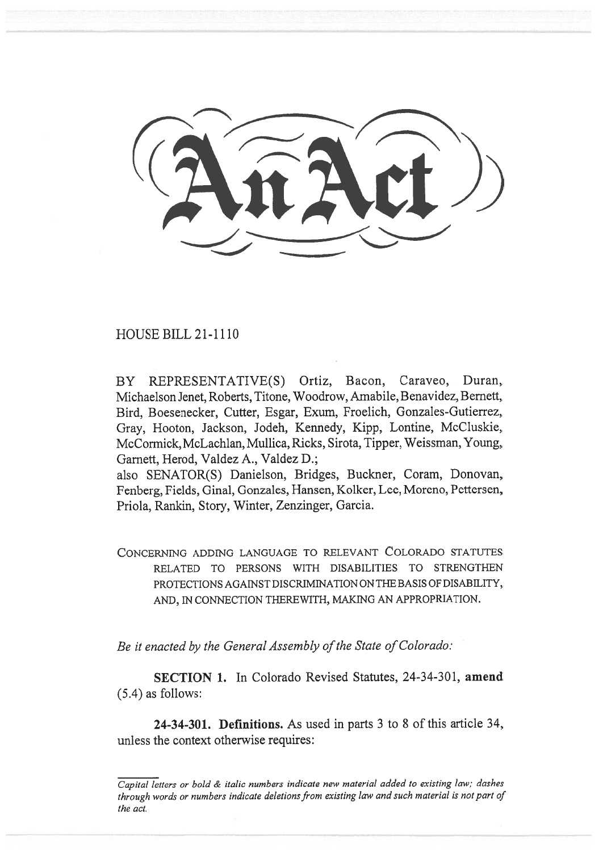HOUSE BILL 21-1110

BY REPRESENTATIVE(S) Ortiz, Bacon, Caraveo, Duran, Michaelson Jenet, Roberts, Titone, Woodrow, Amabile, Benavidez, Bernett, Bird, Boesenecker, Cutter, Esgar, Exum, Froelich, Gonzales-Gutierrez, Gray, Hooton, Jackson, Jodeh, Kennedy, Kipp, Lontine, McCluskie, McCormick, McLachlan, Mullica, Ricks, Sirota, Tipper, Weissman, Young, Garnett, Herod, Valdez A., Valdez D.;

also SENATOR(S) Danielson, Bridges, Buckner, Coram, Donovan, Fenberg, Fields, Ginal, Gonzales, Hansen, Kolker, Lee, Moreno, Pettersen, Priola, Rankin, Story, Winter, Zenzinger, Garcia.

CONCERNING ADDING LANGUAGE TO RELEVANT COLORADO STATUTES RELATED TO PERSONS WITH DISABILITIES TO STRENGTHEN PROTECTIONS AGAINST DISCRIMINATION ON THE BASIS OF DISABILITY, AND, IN CONNECTION THEREWITH, MAKING AN APPROPRIATION.

Be it enacted by the General Assembly of the State of Colorado:

SECTION 1. In Colorado Revised Statutes, 24-34-301, amend (5.4) as follows:

24-34-301. Definitions. As used in parts 3 to 8 of this article 34, unless the context otherwise requires:

 $\overline{Capital}$  letters or bold  $\&$  italic numbers indicate new material added to existing law; dashes through words or numbers indicate deletions from existing law and such material is not part of the act.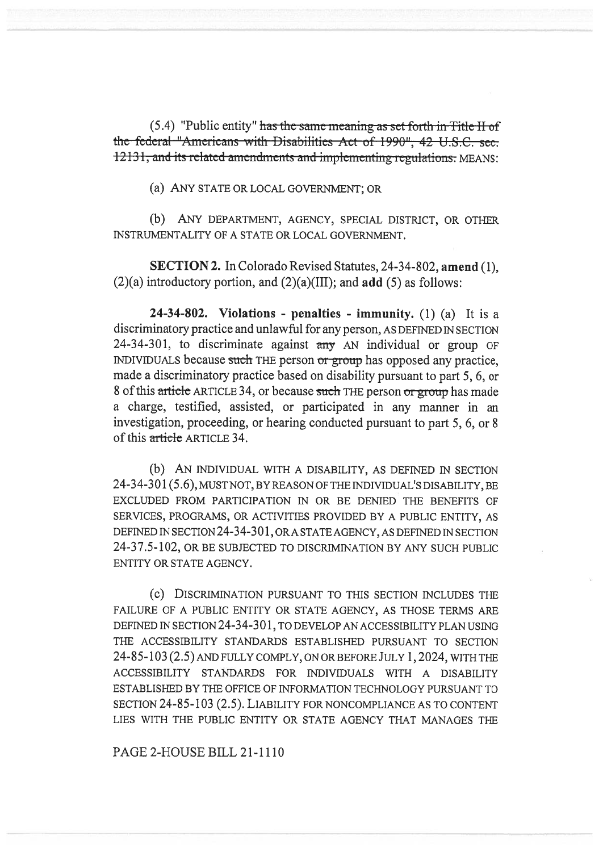$(5.4)$  "Public entity" has the same meaning as set forth in Title-II of the federal "Americans with Disabilities Act of 1990", 42 U.S.C. sec. 12131, and its related-amendments and implementing-regulations: MEANS:

(a) ANY STATE OR LOCAL GOVERNMENT; OR

(b) ANY DEPARTMENT, AGENCY, SPECIAL DISTRICT, OR OTHER INSTRUMENTALITY OF A STATE OR LOCAL GOVERNMENT.

SECTION 2. In Colorado Revised Statutes, 24-34-802, amend (1),  $(2)(a)$  introductory portion, and  $(2)(a)(III)$ ; and **add** (5) as follows:

24-34-802. Violations - penalties - immunity.  $(1)$   $(a)$  It is a discriminatory practice and unlawful for any person, AS DEFINED IN SECTION 24-34-301, to discriminate against  $\frac{1}{2}$  AN individual or group OF INDIVIDUALS because such THE person or group has opposed any practice, made a discriminatory practice based on disability pursuant to part 5, 6, or 8 of this article ARTICLE 34, or because such THE person or group has made a charge, testified, assisted, or participated in any manner in an investigation, proceeding, or hearing conducted pursuant to part 5, 6, or 8 of this article ARTICLE 34.

(b) AN INDIVIDUAL WITH A DISABILITY, AS DEFINED IN SECTION 24-34-301(5.6), MUST NOT, BY REASON OF THE INDIVIDUAL'S DISABILITY, BE EXCLUDED FROM PARTICIPATION IN OR BE DENIED THE BENEFITS OF SERVICES, PROGRAMS, OR ACTIVITIES PROVIDED BY A PUBLIC ENTITY, AS DEFINED IN SECTION 24-34-301, ORA STATE AGENCY, AS DEFINED IN SECTION 24-37.5-102, OR BE SUBJECTED TO DISCRIMINATION BY ANY SUCH PUBLIC ENTITY OR STATE AGENCY.

(c) DISCRIMINATION PURSUANT TO THIS SECTION INCLUDES THE FAILURE OF A PUBLIC ENTITY OR STATE AGENCY, AS THOSE TERMS ARE DEFINED IN SECTION 24-34-301, TO DEVELOP AN ACCESSIBILITY PLAN USING THE ACCESSIBILITY STANDARDS ESTABLISHED PURSUANT TO SECTION 24-85-103 (2.5) AND FULLY COMPLY, ON OR BEFORE JULY 1,2024, WITH THE ACCESSIBILITY STANDARDS FOR INDIVIDUALS WITH A DISABILITY ESTABLISHED BY THE OFFICE OF INFORMATION TECHNOLOGY PURSUANT TO SECTION 24-85-103 (2.5). LIABILITY FOR NONCOMPLIANCE AS TO CONTENT LIES WITH THE PUBLIC ENTITY OR STATE AGENCY THAT MANAGES THE

PAGE 2-HOUSE BILL 21-1110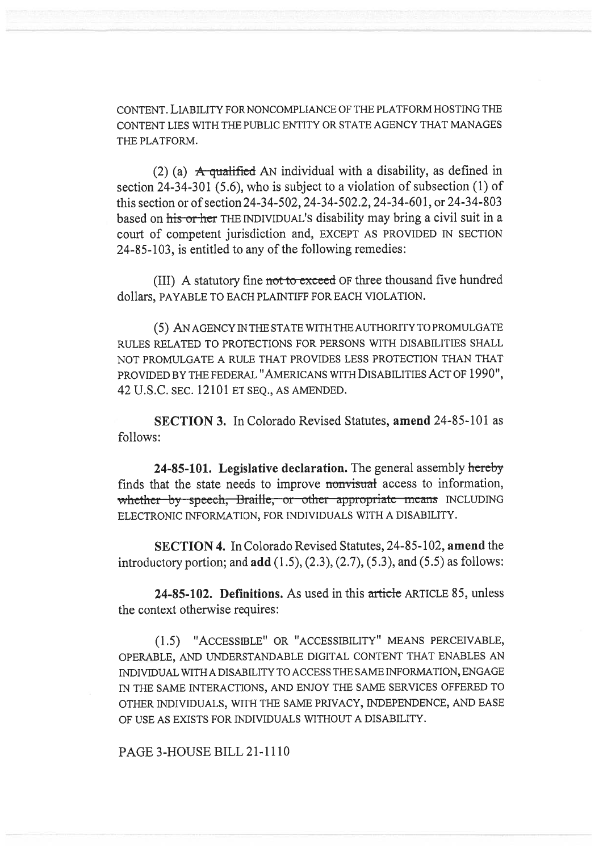CONTENT. LIABILITY FOR NONCOMPLIANCE OF THE PLATFORM HOSTING THE CONTENT LIES WITH THE PUBLIC ENTITY OR STATE AGENCY THAT MANAGES THE PLATFORM.

(2) (a) A qualified AN individual with a disability, as defined in section 24-34-301 (5.6), who is subject to a violation of subsection (1) of this section or of section 24-34-502, 24-34-502.2, 24-34-601, or 24-34-803 based on his or her THE INDIVIDUAL'S disability may bring a civil suit in a court of competent jurisdiction and, EXCEPT AS PROVIDED IN SECTION 24-85-103, is entitled to any of the following remedies:

(III) A statutory fine not to exceed OF three thousand five hundred dollars, PAYABLE TO EACH PLAINTIFF FOR EACH VIOLATION.

(5) AN AGENCY IN THE STATE WITH THE AUTHORITY TO PROMULGATE RULES RELATED TO PROTECTIONS FOR PERSONS WITH DISABILITIES SHALL NOT PROMULGATE A RULE THAT PROVIDES LESS PROTECTION THAN THAT PROVIDED BY THE FEDERAL "AMERICANS WITH DISABILITIES ACT OF 1990", 42 U.S.C. SEC. 12101 ET SEQ., AS AMENDED.

SECTION 3. In Colorado Revised Statutes, amend 24-85-101 as follows:

24-85-101. Legislative declaration. The general assembly hereby finds that the state needs to improve nonvisual access to information, whether by speech, Braille, or other appropriate means INCLUDING ELECTRONIC INFORMATION, FOR INDIVIDUALS WITH A DISABILITY.

SECTION 4. In Colorado Revised Statutes, 24-85-102, amend the introductory portion; and  $add(1.5), (2.3), (2.7), (5.3), and (5.5)$  as follows:

24-85-102. Definitions. As used in this article ARTICLE 85, unless the context otherwise requires:

(1.5) "ACCESSIBLE" OR "ACCESSIBILITY" MEANS PERCEIVABLE, OPERABLE, AND UNDERSTANDABLE DIGITAL CONTENT THAT ENABLES AN INDIVIDUAL WITH A DISABILITY TO ACCESS THE SAME INFORMATION, ENGAGE IN THE SAME INTERACTIONS, AND ENJOY THE SAME SERVICES OFFERED TO OTHER INDIVIDUALS, WITH THE SAME PRIVACY, INDEPENDENCE, AND EASE OF USE AS EXISTS FOR INDIVIDUALS WITHOUT A DISABILITY.

PAGE 3-HOUSE BILL 21-1110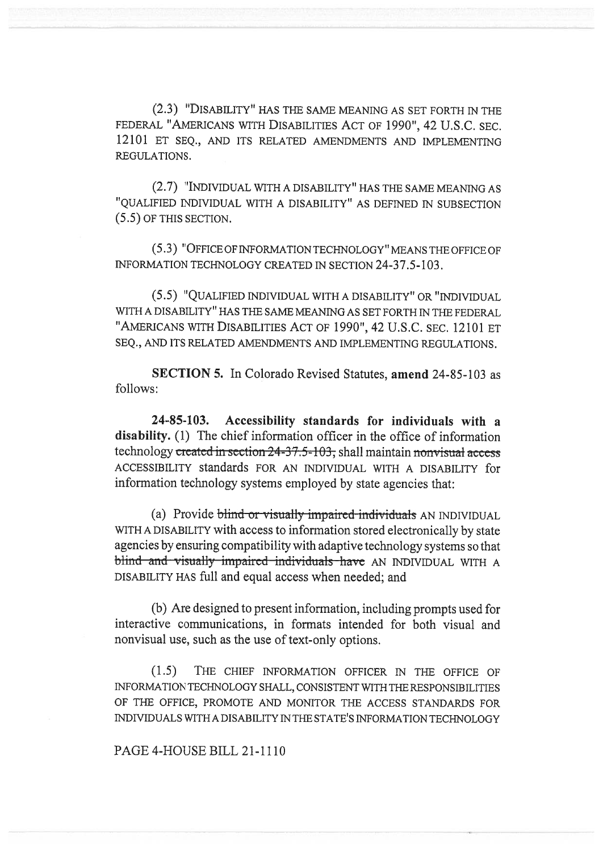(2.3) "DISABILITY" HAS THE SAME MEANING AS SET FORTH IN THE FEDERAL "AMERICANS WITH DISABILITIES ACT OF 1990", 42 U.S.C. SEC. 12101 ET SEQ., AND ITS RELATED AMENDMENTS AND IMPLEMENTING REGULATIONS.

(2.7) "INDIVIDUAL WITH A DISABILITY" HAS THE SAME MEANING AS "QUALIFIED INDIVIDUAL WITH A DISABILITY" AS DEFINED IN SUBSECTION (5.5) OF THIS SECTION.

(5.3) "OFFICE OF INFORMATION TECHNOLOGY" MEANS THE OFFICE OF INFORMATION TECHNOLOGY CREATED IN SECTION 24-37.5-103.

(5.5) "QUALIFIED INDIVIDUAL WITH A DISABILITY" OR "INDIVIDUAL WITH A DISABILITY" HAS THE SAME MEANING AS SET FORTH IN THE FEDERAL "AMERICANS WITH DISABILITIES ACT OF 1990", 42 U.S.C. SEC. 12101 ET SEQ., AND ITS RELATED AMENDMENTS AND IMPLEMENTING REGULATIONS.

SECTION 5. In Colorado Revised Statutes, amend 24-85-103 as follows:

24-85-103. Accessibility standards for individuals with a disability. (1) The chief information officer in the office of information technology created in section  $24-37.5-103$ ; shall maintain nonvisual access ACCESSIBILITY standards FOR AN INDIVIDUAL WITH A DISABILITY for information technology systems employed by state agencies that:

(a) Provide blind or visually impaired individuals AN INDIVIDUAL WITH A DISABILITY with access to information stored electronically by state agencies by ensuring compatibility with adaptive technology systems so that blind and visually impaired individuals have AN INDIVIDUAL WITH A DISABILITY HAS full and equal access when needed; and

(b) Are designed to present information, including prompts used for interactive communications, in formats intended for both visual and nonvisual use, such as the use of text-only options.

(1.5) THE CHIEF INFORMATION OFFICER IN THE OFFICE OF INFORMATION TECHNOLOGY SHALL, CONSISTENT WITH THE RESPONSIBILITIES OF THE OFFICE, PROMOTE AND MONITOR THE ACCESS STANDARDS FOR INDIVIDUALS WITH A DISABILITY IN THE STATE'S INFORMATION TECHNOLOGY

## PAGE 4-HOUSE BILL 21-1110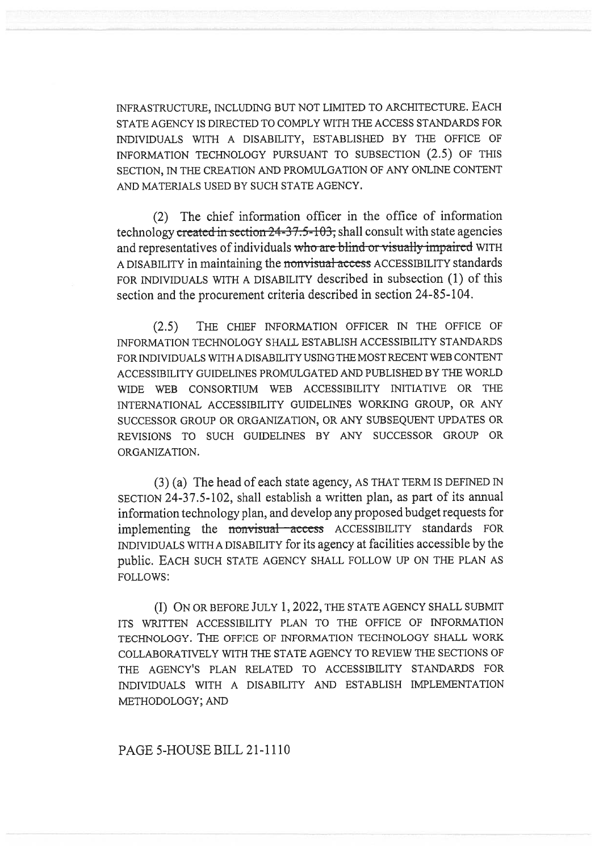INFRASTRUCTURE, INCLUDING BUT NOT LIMITED TO ARCHITECTURE. EACH STATE AGENCY IS DIRECTED TO COMPLY WITH THE ACCESS STANDARDS FOR INDIVIDUALS WITH A DISABILITY, ESTABLISHED BY THE OFFICE OF INFORMATION TECHNOLOGY PURSUANT TO SUBSECTION (2.5) OF THIS SECTION, IN THE CREATION AND PROMULGATION OF ANY ONLINE CONTENT AND MATERIALS USED BY SUCH STATE AGENCY.

(2) The chief information officer in the office of information technology created in section  $24-37.5-103$ , shall consult with state agencies and representatives of individuals who are blind or visually impaired WITH A DISABILITY in maintaining the nonvisual access ACCESSIBILITY standards FOR INDIVIDUALS WITH A DISABILITY described in subsection (1) of this section and the procurement criteria described in section 24-85-104.

(2.5) THE CHIEF INFORMATION OFFICER IN THE OFFICE OF INFORMATION TECHNOLOGY SHALL ESTABLISH ACCESSIBILITY STANDARDS FOR INDIVIDUALS WITH A DISABILITY USING THE MOST RECENT WEB CONTENT ACCESSIBILITY GUIDELINES PROMULGATED AND PUBLISHED BY THE WORLD WIDE WEB CONSORTIUM WEB ACCESSIBILITY INITIATIVE OR THE INTERNATIONAL ACCESSIBILITY GUIDELINES WORKING GROUP, OR ANY SUCCESSOR GROUP OR ORGANIZATION, OR ANY SUBSEQUENT UPDATES OR REVISIONS TO SUCH GUIDELINES BY ANY SUCCESSOR GROUP OR ORGANIZATION.

(3) (a) The head of each state agency, AS THAT TERM IS DEFINED IN SECTION 24-37.5-102, shall establish a written plan, as part of its annual information technology plan, and develop any proposed budget requests for implementing the nonvisual access ACCESSIBILITY standards FOR INDIVIDUALS WITH A DISABILITY for its agency at facilities accessible by the public. EACH SUCH STATE AGENCY SHALL FOLLOW UP ON THE PLAN AS FOLLOWS:

(I) ON OR BEFORE JULY 1, 2022, THE STATE AGENCY SHALL SUBMIT ITS WRITTEN ACCESSIBILITY PLAN TO THE OFFICE OF INFORMATION TECHNOLOGY. THE OFFICE OF INFORMATION TECHNOLOGY SHALL WORK COLLABORATIVELY WITH THE STATE AGENCY TO REVIEW THE SECTIONS OF THE AGENCY'S PLAN RELATED TO ACCESSIBILITY STANDARDS FOR INDIVIDUALS WITH A DISABILITY AND ESTABLISH IMPLEMENTATION METHODOLOGY; AND

## PAGE 5-HOUSE BILL 21-1110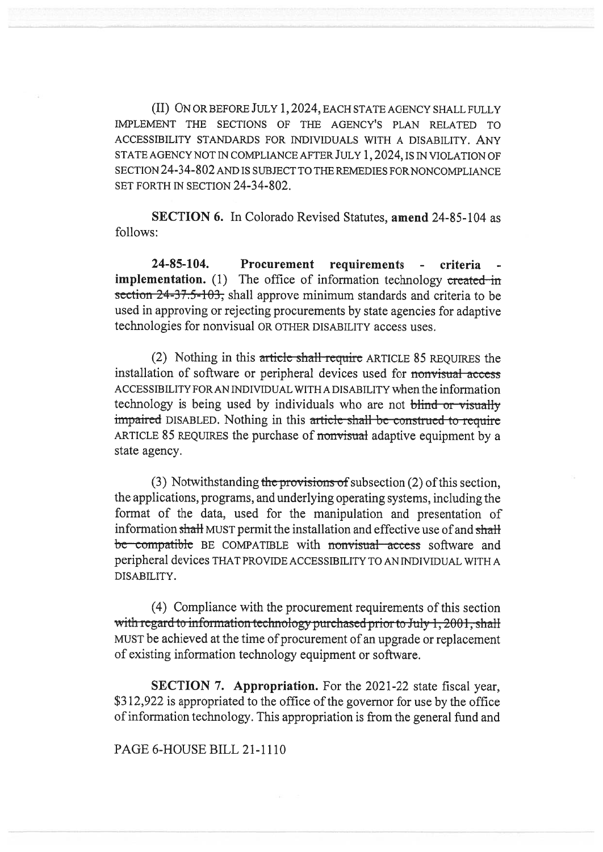(II) ON OR BEFORE JULY 1, 2024, EACH STATE AGENCY SHALL FULLY IMPLEMENT THE SECTIONS OF THE AGENCY'S PLAN RELATED TO ACCESSIBILITY STANDARDS FOR INDIVIDUALS WITH A DISABILITY. ANY STATE AGENCY NOT IN COMPLIANCE AFTER JULY 1, 2024, IS IN VIOLATION OF SECTION 24-34-802 AND IS SUBJECT TO THE REMEDIES FOR NONCOMPLIANCE SET FORTH IN SECTION 24-34-802.

SECTION 6. In Colorado Revised Statutes, amend 24-85-104 as follows:

24-85-104. Procurement requirements - criteria **implementation.** (1) The office of information technology created in section 24-37.5-103, shall approve minimum standards and criteria to be used in approving or rejecting procurements by state agencies for adaptive technologies for nonvisual OR OTHER DISABILITY access uses.

(2) Nothing in this article shall require ARTICLE 85 REQUIRES the installation of software or peripheral devices used for nonvisual acccss ACCESSIBILITY FOR AN INDIVIDUAL WITH A DISABILITY when the information technology is being used by individuals who are not blind or visually impaired DISABLED. Nothing in this article shall be construed to require ARTICLE 85 REQUIRES the purchase of nonvisual adaptive equipment by a state agency.

(3) Notwithstanding the provisions of subsection  $(2)$  of this section, the applications, programs, and underlying operating systems, including the format of the data, used for the manipulation and presentation of information shall MUST permit the installation and effective use of and shall be compatible BE COMPATIBLE with nonvisual access software and peripheral devices THAT PROVIDE ACCESSIBILITY TO AN INDIVIDUAL WITH A DISABILITY.

(4) Compliance with the procurement requirements of this section with regard to information technology purchased prior to July 1, 2001, shall MUST be achieved at the time of procurement of an upgrade or replacement of existing information technology equipment or software.

SECTION 7. Appropriation. For the 2021-22 state fiscal year, \$312,922 is appropriated to the office of the governor for use by the office of information technology. This appropriation is from the general fund and

PAGE 6-HOUSE BILL 21-1110